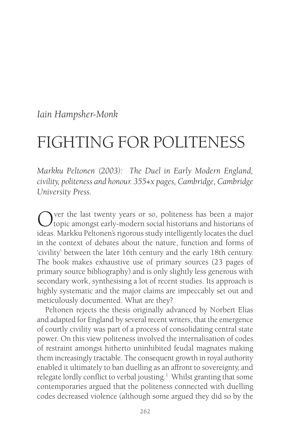*Iain Hampsher-Monk*

## FIGHTING FOR POLITENESS

*Markku Peltonen (2003): The Duel in Early Modern England, civility, politeness and honour. 355+x pages, Cambridge, Cambridge University Press.*

ver the last twenty years or so, politeness has been a major  $\mathcal{F}_{\text{topic}}$  amongst early-modern social historians and historians of ideas. Markku Peltonen's rigorous study intelligently locates the duel in the context of debates about the nature, function and forms of 'civility' between the later 16th century and the early 18th century. The book makes exhaustive use of primary sources (23 pages of primary source bibliography) and is only slightly less generous with secondary work, synthesising a lot of recent studies. Its approach is highly systematic and the major claims are impeccably set out and meticulously documented. What are they?

Peltonen rejects the thesis originally advanced by Norbert Elias and adapted for England by several recent writers, that the emergence of courtly civility was part of a process of consolidating central state power. On this view politeness involved the internalisation of codes of restraint amongst hitherto uninhibited feudal magnates making them increasingly tractable. The consequent growth in royal authority enabled it ultimately to ban duelling as an affront to sovereignty, and relegate lordly conflict to verbal jousting.<sup>1</sup> Whilst granting that some contemporaries argued that the politeness connected with duelling codes decreased violence (although some argued they did so by the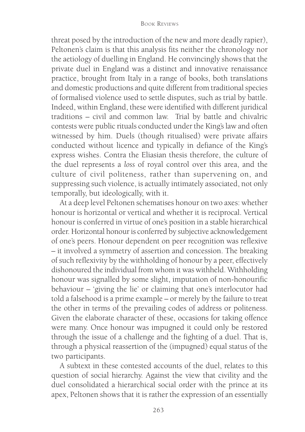threat posed by the introduction of the new and more deadly rapier), Peltonen's claim is that this analysis fits neither the chronology nor the aetiology of duelling in England. He convincingly shows that the private duel in England was a distinct and innovative renaissance practice, brought from Italy in a range of books, both translations and domestic productions and quite different from traditional species of formalised violence used to settle disputes, such as trial by battle. Indeed, within England, these were identified with different juridical traditions – civil and common law. Trial by battle and chivalric contests were public rituals conducted under the King's law and often witnessed by him. Duels (though ritualised) were private affairs conducted without licence and typically in defiance of the King's express wishes. Contra the Eliasian thesis therefore, the culture of the duel represents a *loss* of royal control over this area, and the culture of civil politeness, rather than supervening on, and suppressing such violence, is actually intimately associated, not only temporally, but ideologically, with it.

At a deep level Peltonen schematises honour on two axes: whether honour is horizontal or vertical and whether it is reciprocal. Vertical honour is conferred in virtue of one's position in a stable hierarchical order. Horizontal honour is conferred by subjective acknowledgement of one's peers. Honour dependent on peer recognition was reflexive – it involved a symmetry of assertion and concession. The breaking of such reflexivity by the withholding of honour by a peer, effectively dishonoured the individual from whom it was withheld. Withholding honour was signalled by some slight, imputation of non-honourific behaviour – 'giving the lie' or claiming that one's interlocutor had told a falsehood is a prime example – or merely by the failure to treat the other in terms of the prevailing codes of address or politeness. Given the elaborate character of these, occasions for taking offence were many. Once honour was impugned it could only be restored through the issue of a challenge and the fighting of a duel. That is, through a physical reassertion of the (impugned) equal status of the two participants.

A subtext in these contested accounts of the duel, relates to this question of social hierarchy. Against the view that civility and the duel consolidated a hierarchical social order with the prince at its apex, Peltonen shows that it is rather the expression of an essentially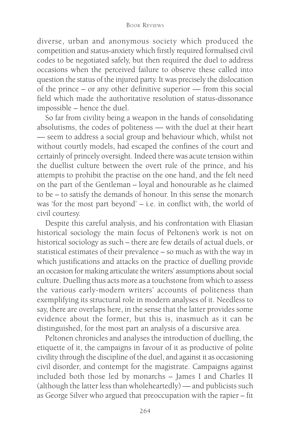diverse, urban and anonymous society which produced the competition and status-anxiety which firstly required formalised civil codes to be negotiated safely, but then required the duel to address occasions when the perceived failure to observe these called into question the status of the injured party. It was precisely the dislocation of the prince – or any other definitive superior — from this social field which made the authoritative resolution of status-dissonance impossible – hence the duel.

So far from civility being a weapon in the hands of consolidating absolutisms, the codes of politeness — with the duel at their heart — seem to address a social group and behaviour which, whilst not without courtly models, had escaped the confines of the court and certainly of princely oversight. Indeed there was acute tension within the duellist culture between the overt rule of the prince, and his attempts to prohibit the practise on the one hand, and the felt need on the part of the Gentleman – loyal and honourable as he claimed to be – to satisfy the demands of honour. In this sense the monarch was 'for the most part beyond' – i.e. in conflict with, the world of civil courtesy.

Despite this careful analysis, and his confrontation with Eliasian historical sociology the main focus of Peltonen's work is not on historical sociology as such – there are few details of actual duels, or statistical estimates of their prevalence – so much as with the way in which justifications and attacks on the practice of duelling provide an occasion for making articulate the writers' assumptions about social culture. Duelling thus acts more as a touchstone from which to assess the various early-modern writers' accounts of politeness than exemplifying its structural role in modern analyses of it. Needless to say, there are overlaps here, in the sense that the latter provides some evidence about the former, but this is, inasmuch as it can be distinguished, for the most part an analysis of a discursive area.

Peltonen chronicles and analyses the introduction of duelling, the etiquette of it, the campaigns in favour of it as productive of polite civility through the discipline of the duel, and against it as occasioning civil disorder, and contempt for the magistrate. Campaigns against included both those led by monarchs – James I and Charles II (although the latter less than wholeheartedly) — and publicists such as George Silver who argued that preoccupation with the rapier – fit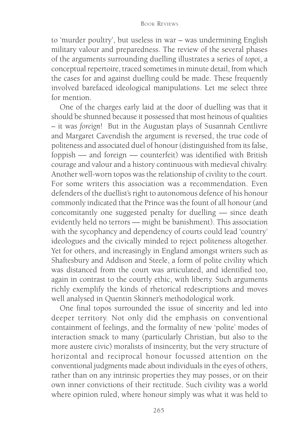## BOOK REVIEWS

to 'murder poultry', but useless in war – was undermining English military valour and preparedness. The review of the several phases of the arguments surrounding duelling illustrates a series of *topoi*, a conceptual repertoire, traced sometimes in minute detail, from which the cases for and against duelling could be made. These frequently involved barefaced ideological manipulations. Let me select three for mention.

One of the charges early laid at the door of duelling was that it should be shunned because it possessed that most heinous of qualities – it was *foreign*! But in the Augustan plays of Susannah Centlivre and Margaret Cavendish the argument is reversed, the true code of politeness and associated duel of honour (distinguished from its false, foppish — and foreign — counterfeit) was identified with British courage and valour and a history continuous with medieval chivalry. Another well-worn topos was the relationship of civility to the court. For some writers this association was a recommendation. Even defenders of the duellist's right to autonomous defence of his honour commonly indicated that the Prince was the fount of all honour (and concomitantly one suggested penalty for duelling — since death evidently held no terrors — might be banishment). This association with the sycophancy and dependency of courts could lead 'country' ideologues and the civically minded to reject politeness altogether. Yet for others, and increasingly in England amongst writers such as Shaftesbury and Addison and Steele, a form of polite civility which was distanced from the court was articulated, and identified too, again in contrast to the courtly ethic, with liberty. Such arguments richly exemplify the kinds of rhetorical redescriptions and moves well analysed in Quentin Skinner's methodological work.

One final topos surrounded the issue of sincerity and led into deeper territory. Not only did the emphasis on conventional containment of feelings, and the formality of new 'polite' modes of interaction smack to many (particularly Christian, but also to the more austere civic) moralists of insincerity, but the very structure of horizontal and reciprocal honour focussed attention on the conventional judgments made about individuals in the eyes of others, rather than on any intrinsic properties they may posses, or on their own inner convictions of their rectitude. Such civility was a world where opinion ruled, where honour simply was what it was held to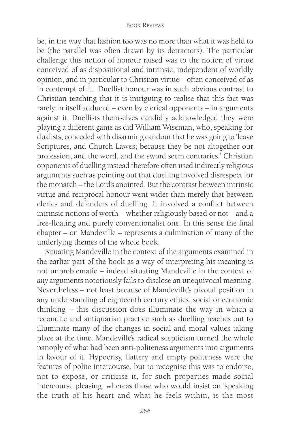be, in the way that fashion too was no more than what it was held to be (the parallel was often drawn by its detractors). The particular challenge this notion of honour raised was to the notion of virtue conceived of as dispositional and intrinsic, independent of worldly opinion, and in particular to Christian virtue – often conceived of as in contempt of it. Duellist honour was in such obvious contrast to Christian teaching that it is intriguing to realise that this fact was rarely in itself adduced – even by clerical opponents – in arguments against it. Duellists themselves candidly acknowledged they were playing a different game as did William Wiseman, who, speaking for dualists, conceded with disarming candour that he was going to 'leave Scriptures, and Church Lawes; because they be not altogether our profession, and the word, and the sword seem contraries.' Christian opponents of duelling instead therefore often used indirectly religious arguments such as pointing out that duelling involved disrespect for the monarch – the Lord's anointed. But the contrast between intrinsic virtue and reciprocal honour went wider than merely that between clerics and defenders of duelling. It involved a conflict between intrinsic notions of worth – whether religiously based or not – and a free-floating and purely conventionalist one. In this sense the final chapter – on Mandeville – represents a culmination of many of the underlying themes of the whole book.

Situating Mandeville in the context of the arguments examined in the earlier part of the book as a way of interpreting his meaning is not unproblematic – indeed situating Mandeville in the context of *any* arguments notoriously fails to disclose an unequivocal meaning. Nevertheless – not least because of Mandeville's pivotal position in any understanding of eighteenth century ethics, social or economic thinking – this discussion does illuminate the way in which a recondite and antiquarian practice such as duelling reaches out to illuminate many of the changes in social and moral values taking place at the time. Mandeville's radical scepticism turned the whole panoply of what had been anti-politeness arguments into arguments in favour of it. Hypocrisy, flattery and empty politeness were the features of polite intercourse, but to recognise this was to endorse, not to expose, or criticise it, for such properties made social intercourse pleasing, whereas those who would insist on 'speaking the truth of his heart and what he feels within, is the most